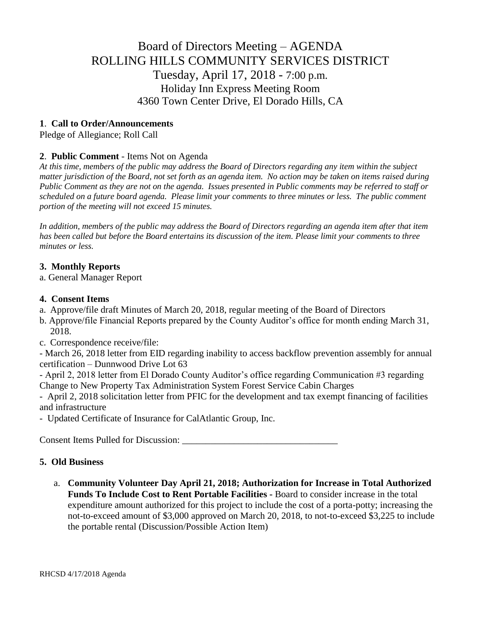# Board of Directors Meeting – AGENDA ROLLING HILLS COMMUNITY SERVICES DISTRICT Tuesday, April 17, 2018 - 7:00 p.m. Holiday Inn Express Meeting Room 4360 Town Center Drive, El Dorado Hills, CA

# **1**. **Call to Order/Announcements**

Pledge of Allegiance; Roll Call

# **2**. **Public Comment** - Items Not on Agenda

*At this time, members of the public may address the Board of Directors regarding any item within the subject matter jurisdiction of the Board, not set forth as an agenda item. No action may be taken on items raised during Public Comment as they are not on the agenda. Issues presented in Public comments may be referred to staff or scheduled on a future board agenda. Please limit your comments to three minutes or less. The public comment portion of the meeting will not exceed 15 minutes.*

*In addition, members of the public may address the Board of Directors regarding an agenda item after that item has been called but before the Board entertains its discussion of the item. Please limit your comments to three minutes or less.*

## **3. Monthly Reports**

a. General Manager Report

#### **4. Consent Items**

- a. Approve/file draft Minutes of March 20, 2018, regular meeting of the Board of Directors
- b. Approve/file Financial Reports prepared by the County Auditor's office for month ending March 31, 2018.
- c. Correspondence receive/file:

- March 26, 2018 letter from EID regarding inability to access backflow prevention assembly for annual certification – Dunnwood Drive Lot 63

- April 2, 2018 letter from El Dorado County Auditor's office regarding Communication #3 regarding Change to New Property Tax Administration System Forest Service Cabin Charges

- April 2, 2018 solicitation letter from PFIC for the development and tax exempt financing of facilities and infrastructure

- Updated Certificate of Insurance for CalAtlantic Group, Inc.

Consent Items Pulled for Discussion: \_\_\_\_\_\_\_\_\_\_\_\_\_\_\_\_\_\_\_\_\_\_\_\_\_\_\_\_\_\_\_\_\_

## **5. Old Business**

a. **Community Volunteer Day April 21, 2018; Authorization for Increase in Total Authorized Funds To Include Cost to Rent Portable Facilities -** Board to consider increase in the total expenditure amount authorized for this project to include the cost of a porta-potty; increasing the not-to-exceed amount of \$3,000 approved on March 20, 2018, to not-to-exceed \$3,225 to include the portable rental (Discussion/Possible Action Item)